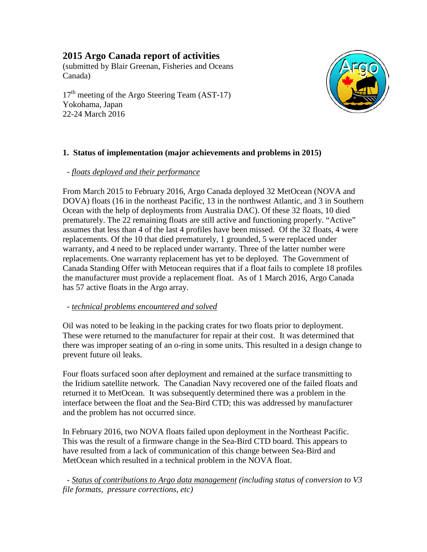# **2015 Argo Canada report of activities**

(submitted by Blair Greenan, Fisheries and Oceans Canada)

 $17<sup>th</sup>$  meeting of the Argo Steering Team (AST-17) Yokohama, Japan 22-24 March 2016



# **1. Status of implementation (major achievements and problems in 2015)**

#### *- floats deployed and their performance*

From March 2015 to February 2016, Argo Canada deployed 32 MetOcean (NOVA and DOVA) floats (16 in the northeast Pacific, 13 in the northwest Atlantic, and 3 in Southern Ocean with the help of deployments from Australia DAC). Of these 32 floats, 10 died prematurely. The 22 remaining floats are still active and functioning properly. "Active" assumes that less than 4 of the last 4 profiles have been missed. Of the 32 floats, 4 were replacements. Of the 10 that died prematurely, 1 grounded, 5 were replaced under warranty, and 4 need to be replaced under warranty. Three of the latter number were replacements. One warranty replacement has yet to be deployed. The Government of Canada Standing Offer with Metocean requires that if a float fails to complete 18 profiles the manufacturer must provide a replacement float. As of 1 March 2016, Argo Canada has 57 active floats in the Argo array.

## *- technical problems encountered and solved*

Oil was noted to be leaking in the packing crates for two floats prior to deployment. These were returned to the manufacturer for repair at their cost. It was determined that there was improper seating of an o-ring in some units. This resulted in a design change to prevent future oil leaks.

Four floats surfaced soon after deployment and remained at the surface transmitting to the Iridium satellite network. The Canadian Navy recovered one of the failed floats and returned it to MetOcean. It was subsequently determined there was a problem in the interface between the float and the Sea-Bird CTD; this was addressed by manufacturer and the problem has not occurred since.

In February 2016, two NOVA floats failed upon deployment in the Northeast Pacific. This was the result of a firmware change in the Sea-Bird CTD board. This appears to have resulted from a lack of communication of this change between Sea-Bird and MetOcean which resulted in a technical problem in the NOVA float.

 *- Status of contributions to Argo data management (including status of conversion to V3 file formats, pressure corrections, etc)*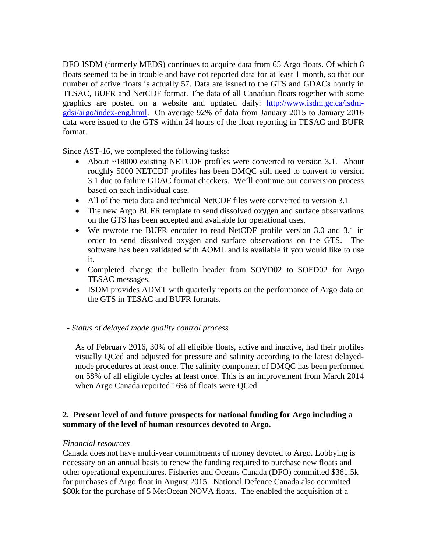DFO ISDM (formerly MEDS) continues to acquire data from 65 Argo floats. Of which 8 floats seemed to be in trouble and have not reported data for at least 1 month, so that our number of active floats is actually 57. Data are issued to the GTS and GDACs hourly in TESAC, BUFR and NetCDF format. The data of all Canadian floats together with some graphics are posted on a website and updated daily: [http://www.isdm.gc.ca/isdm](http://www.isdm.gc.ca/isdm-gdsi/argo/index-eng.html)[gdsi/argo/index-eng.html.](http://www.isdm.gc.ca/isdm-gdsi/argo/index-eng.html) On average 92% of data from January 2015 to January 2016 data were issued to the GTS within 24 hours of the float reporting in TESAC and BUFR format.

Since AST-16, we completed the following tasks:

- About ~18000 existing NETCDF profiles were converted to version 3.1. About roughly 5000 NETCDF profiles has been DMQC still need to convert to version 3.1 due to failure GDAC format checkers. We'll continue our conversion process based on each individual case.
- All of the meta data and technical NetCDF files were converted to version 3.1
- The new Argo BUFR template to send dissolved oxygen and surface observations on the GTS has been accepted and available for operational uses.
- We rewrote the BUFR encoder to read NetCDF profile version 3.0 and 3.1 in order to send dissolved oxygen and surface observations on the GTS. The software has been validated with AOML and is available if you would like to use it.
- Completed change the bulletin header from SOVD02 to SOFD02 for Argo TESAC messages.
- ISDM provides ADMT with quarterly reports on the performance of Argo data on the GTS in TESAC and BUFR formats.

# *- Status of delayed mode quality control process*

As of February 2016, 30% of all eligible floats, active and inactive, had their profiles visually QCed and adjusted for pressure and salinity according to the latest delayedmode procedures at least once. The salinity component of DMQC has been performed on 58% of all eligible cycles at least once. This is an improvement from March 2014 when Argo Canada reported 16% of floats were QCed.

# **2. Present level of and future prospects for national funding for Argo including a summary of the level of human resources devoted to Argo.**

## *Financial resources*

Canada does not have multi-year commitments of money devoted to Argo. Lobbying is necessary on an annual basis to renew the funding required to purchase new floats and other operational expenditures. Fisheries and Oceans Canada (DFO) committed \$361.5k for purchases of Argo float in August 2015. National Defence Canada also commited \$80k for the purchase of 5 MetOcean NOVA floats. The enabled the acquisition of a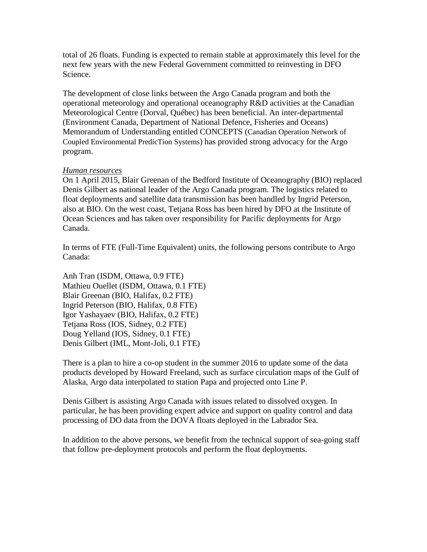total of 26 floats. Funding is expected to remain stable at approximately this level for the next few years with the new Federal Government committed to reinvesting in DFO Science.

The development of close links between the Argo Canada program and both the operational meteorology and operational oceanography R&D activities at the Canadian Meteorological Centre (Dorval, Québec) has been beneficial. An inter-departmental (Environment Canada, Department of National Defence, Fisheries and Oceans) Memorandum of Understanding entitled CONCEPTS (Canadian Operation Network of Coupled Environmental PredicTion Systems) has provided strong advocacy for the Argo program.

#### *Human resources*

On 1 April 2015, Blair Greenan of the Bedford Institute of Oceanography (BIO) replaced Denis Gilbert as national leader of the Argo Canada program. The logistics related to float deployments and satellite data transmission has been handled by Ingrid Peterson, also at BIO. On the west coast, Tetjana Ross has been hired by DFO at the Institute of Ocean Sciences and has taken over responsibility for Pacific deployments for Argo Canada.

In terms of FTE (Full-Time Equivalent) units, the following persons contribute to Argo Canada:

Anh Tran (ISDM, Ottawa, 0.9 FTE) Mathieu Ouellet (ISDM, Ottawa, 0.1 FTE) Blair Greenan (BIO, Halifax, 0.2 FTE) Ingrid Peterson (BIO, Halifax, 0.8 FTE) Igor Yashayaev (BIO, Halifax, 0.2 FTE) Tetjana Ross (IOS, Sidney, 0.2 FTE) Doug Yelland (IOS, Sidney, 0.1 FTE) Denis Gilbert (IML, Mont-Joli, 0.1 FTE)

There is a plan to hire a co-op student in the summer 2016 to update some of the data products developed by Howard Freeland, such as surface circulation maps of the Gulf of Alaska, Argo data interpolated to station Papa and projected onto Line P.

Denis Gilbert is assisting Argo Canada with issues related to dissolved oxygen. In particular, he has been providing expert advice and support on quality control and data processing of DO data from the DOVA floats deployed in the Labrador Sea.

In addition to the above persons, we benefit from the technical support of sea-going staff that follow pre-deployment protocols and perform the float deployments.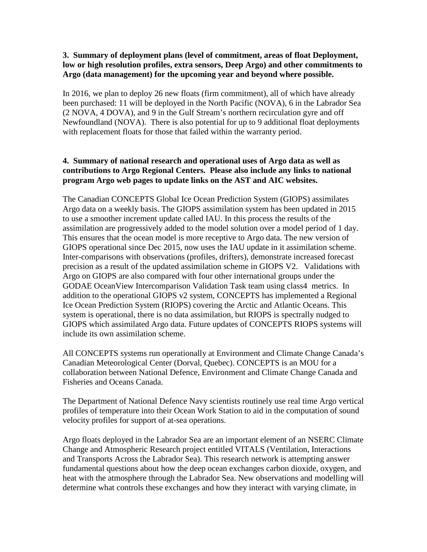#### **3. Summary of deployment plans (level of commitment, areas of float Deployment, low or high resolution profiles, extra sensors, Deep Argo) and other commitments to Argo (data management) for the upcoming year and beyond where possible.**

In 2016, we plan to deploy 26 new floats (firm commitment), all of which have already been purchased: 11 will be deployed in the North Pacific (NOVA), 6 in the Labrador Sea (2 NOVA, 4 DOVA), and 9 in the Gulf Stream's northern recirculation gyre and off Newfoundland (NOVA). There is also potential for up to 9 additional float deployments with replacement floats for those that failed within the warranty period.

## **4. Summary of national research and operational uses of Argo data as well as contributions to Argo Regional Centers. Please also include any links to national program Argo web pages to update links on the AST and AIC websites.**

The Canadian CONCEPTS Global Ice Ocean Prediction System (GIOPS) assimilates Argo data on a weekly basis. The GIOPS assimilation system has been updated in 2015 to use a smoother increment update called IAU. In this process the results of the assimilation are progressively added to the model solution over a model period of 1 day. This ensures that the ocean model is more receptive to Argo data. The new version of GIOPS operational since Dec 2015, now uses the IAU update in it assimilation scheme. Inter-comparisons with observations (profiles, drifters), demonstrate increased forecast precision as a result of the updated assimilation scheme in GIOPS V2. Validations with Argo on GIOPS are also compared with four other international groups under the GODAE OceanView Intercomparison Validation Task team using class4 metrics. In addition to the operational GIOPS v2 system, CONCEPTS has implemented a Regional Ice Ocean Prediction System (RIOPS) covering the Arctic and Atlantic Oceans. This system is operational, there is no data assimilation, but RIOPS is spectrally nudged to GIOPS which assimilated Argo data. Future updates of CONCEPTS RIOPS systems will include its own assimilation scheme.

All CONCEPTS systems run operationally at Environment and Climate Change Canada's Canadian Meteorological Center (Dorval, Quebec). CONCEPTS is an MOU for a collaboration between National Defence, Environment and Climate Change Canada and Fisheries and Oceans Canada.

The Department of National Defence Navy scientists routinely use real time Argo vertical profiles of temperature into their Ocean Work Station to aid in the computation of sound velocity profiles for support of at-sea operations.

Argo floats deployed in the Labrador Sea are an important element of an NSERC Climate Change and Atmospheric Research project entitled VITALS (Ventilation, Interactions and Transports Across the Labrador Sea). This research network is attempting answer fundamental questions about how the deep ocean exchanges carbon dioxide, oxygen, and heat with the atmosphere through the Labrador Sea. New observations and modelling will determine what controls these exchanges and how they interact with varying climate, in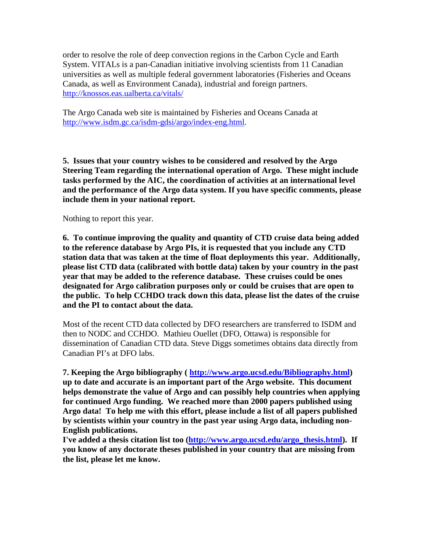order to resolve the role of deep convection regions in the Carbon Cycle and Earth System. VITALs is a pan-Canadian initiative involving scientists from 11 Canadian universities as well as multiple federal government laboratories (Fisheries and Oceans Canada, as well as Environment Canada), industrial and foreign partners. <http://knossos.eas.ualberta.ca/vitals/>

The Argo Canada web site is maintained by Fisheries and Oceans Canada at [http://www.isdm.gc.ca/isdm-gdsi/argo/index-eng.html.](http://www.isdm.gc.ca/isdm-gdsi/argo/index-eng.html)

**5. Issues that your country wishes to be considered and resolved by the Argo Steering Team regarding the international operation of Argo. These might include tasks performed by the AIC, the coordination of activities at an international level and the performance of the Argo data system. If you have specific comments, please include them in your national report.**

Nothing to report this year.

**6. To continue improving the quality and quantity of CTD cruise data being added to the reference database by Argo PIs, it is requested that you include any CTD station data that was taken at the time of float deployments this year. Additionally, please list CTD data (calibrated with bottle data) taken by your country in the past year that may be added to the reference database. These cruises could be ones designated for Argo calibration purposes only or could be cruises that are open to the public. To help CCHDO track down this data, please list the dates of the cruise and the PI to contact about the data.**

Most of the recent CTD data collected by DFO researchers are transferred to ISDM and then to NODC and CCHDO. Mathieu Ouellet (DFO, Ottawa) is responsible for dissemination of Canadian CTD data. Steve Diggs sometimes obtains data directly from Canadian PI's at DFO labs.

**7. Keeping the Argo bibliography ( [http://www.argo.ucsd.edu/Bibliography.html\)](http://www.argo.ucsd.edu/Bibliography.html) up to date and accurate is an important part of the Argo website. This document helps demonstrate the value of Argo and can possibly help countries when applying for continued Argo funding. We reached more than 2000 papers published using Argo data! To help me with this effort, please include a list of all papers published by scientists within your country in the past year using Argo data, including non-English publications.** 

**I've added a thesis citation list too [\(http://www.argo.ucsd.edu/argo\\_thesis.html\)](http://www.argo.ucsd.edu/argo_thesis.html). If you know of any doctorate theses published in your country that are missing from the list, please let me know.**